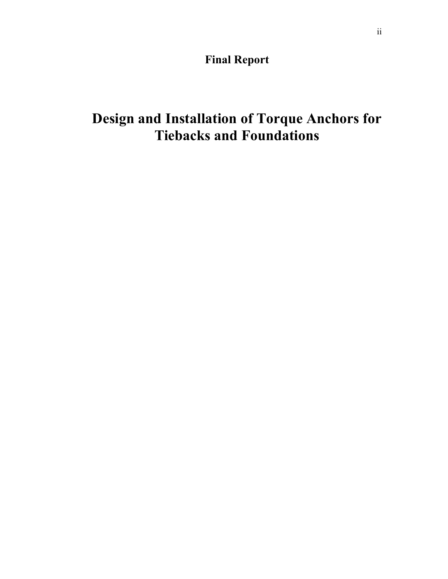**Final Report** 

# **Design and Installation of Torque Anchors for Tiebacks and Foundations**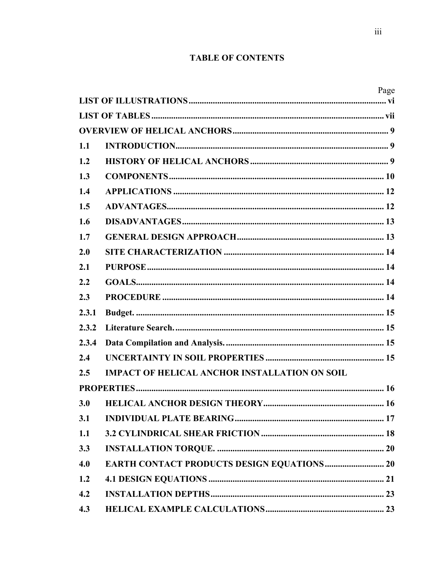# **TABLE OF CONTENTS**

|       |                                                      | Page |  |  |
|-------|------------------------------------------------------|------|--|--|
|       |                                                      |      |  |  |
|       |                                                      |      |  |  |
|       |                                                      |      |  |  |
| 1.1   |                                                      |      |  |  |
| 1.2   |                                                      |      |  |  |
| 1.3   |                                                      |      |  |  |
| 1.4   |                                                      |      |  |  |
| 1.5   |                                                      |      |  |  |
| 1.6   |                                                      |      |  |  |
| 1.7   |                                                      |      |  |  |
| 2.0   |                                                      |      |  |  |
| 2.1   |                                                      |      |  |  |
| 2.2   |                                                      |      |  |  |
| 2.3   |                                                      |      |  |  |
| 2.3.1 |                                                      |      |  |  |
| 2.3.2 |                                                      |      |  |  |
| 2.3.4 |                                                      |      |  |  |
| 2.4   |                                                      |      |  |  |
| 2.5   | <b>IMPACT OF HELICAL ANCHOR INSTALLATION ON SOIL</b> |      |  |  |
|       |                                                      |      |  |  |
| 3.0   |                                                      |      |  |  |
| 3.1   |                                                      |      |  |  |
| 1.1   |                                                      |      |  |  |
| 3.3   |                                                      |      |  |  |
| 4.0   | <b>EARTH CONTACT PRODUCTS DESIGN EQUATIONS  20</b>   |      |  |  |
| 1.2   |                                                      |      |  |  |
| 4.2   |                                                      |      |  |  |
| 4.3   |                                                      |      |  |  |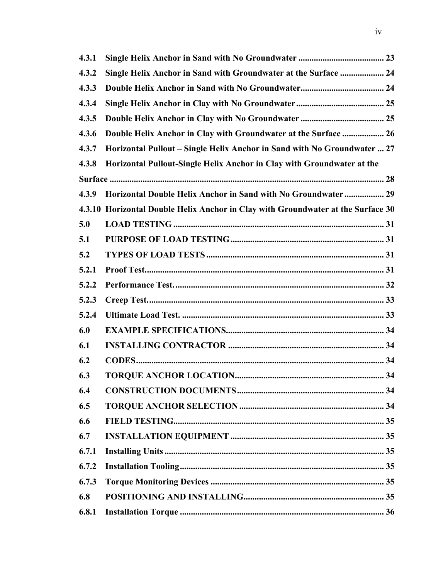| 4.3.1 |                                                                                  |
|-------|----------------------------------------------------------------------------------|
| 4.3.2 | Single Helix Anchor in Sand with Groundwater at the Surface  24                  |
| 4.3.3 |                                                                                  |
| 4.3.4 |                                                                                  |
| 4.3.5 |                                                                                  |
| 4.3.6 | Double Helix Anchor in Clay with Groundwater at the Surface  26                  |
| 4.3.7 | Horizontal Pullout – Single Helix Anchor in Sand with No Groundwater  27         |
| 4.3.8 | Horizontal Pullout-Single Helix Anchor in Clay with Groundwater at the           |
|       |                                                                                  |
| 4.3.9 | Horizontal Double Helix Anchor in Sand with No Groundwater 29                    |
|       | 4.3.10 Horizontal Double Helix Anchor in Clay with Groundwater at the Surface 30 |
| 5.0   |                                                                                  |
| 5.1   |                                                                                  |
| 5.2   |                                                                                  |
| 5.2.1 |                                                                                  |
| 5.2.2 |                                                                                  |
| 5.2.3 |                                                                                  |
| 5.2.4 |                                                                                  |
| 6.0   |                                                                                  |
| 6.1   |                                                                                  |
| 6.2   |                                                                                  |
| 6.3   |                                                                                  |
| 6.4   |                                                                                  |
| 6.5   |                                                                                  |
| 6.6   |                                                                                  |
| 6.7   |                                                                                  |
| 6.7.1 |                                                                                  |
| 6.7.2 |                                                                                  |
| 6.7.3 |                                                                                  |
| 6.8   |                                                                                  |
| 6.8.1 |                                                                                  |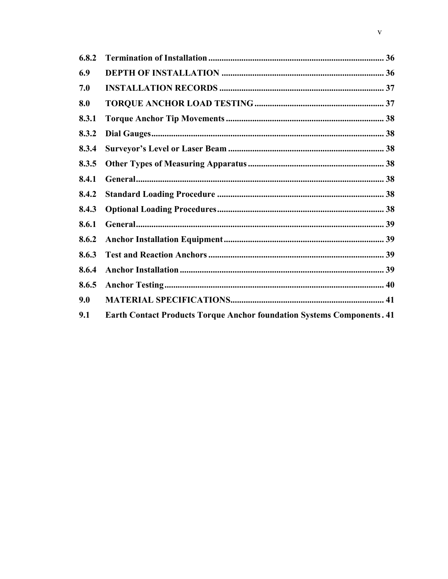| 6.8.2 |                                                                               |  |
|-------|-------------------------------------------------------------------------------|--|
| 6.9   |                                                                               |  |
| 7.0   |                                                                               |  |
| 8.0   |                                                                               |  |
| 8.3.1 |                                                                               |  |
| 8.3.2 |                                                                               |  |
| 8.3.4 |                                                                               |  |
| 8.3.5 |                                                                               |  |
| 8.4.1 |                                                                               |  |
| 8.4.2 |                                                                               |  |
| 8.4.3 |                                                                               |  |
| 8.6.1 |                                                                               |  |
| 8.6.2 |                                                                               |  |
| 8.6.3 |                                                                               |  |
| 8.6.4 |                                                                               |  |
| 8.6.5 |                                                                               |  |
| 9.0   |                                                                               |  |
| 9.1   | <b>Earth Contact Products Torque Anchor foundation Systems Components. 41</b> |  |
|       |                                                                               |  |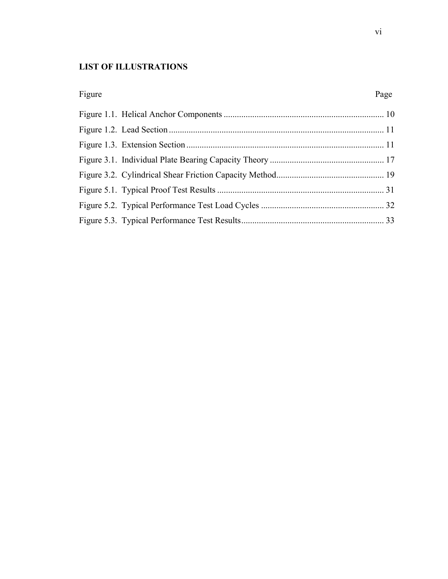# **LIST OF ILLUSTRATIONS**

| Figure | Page |
|--------|------|
|        |      |
|        |      |
|        |      |
|        |      |
|        |      |
|        |      |
|        |      |
|        |      |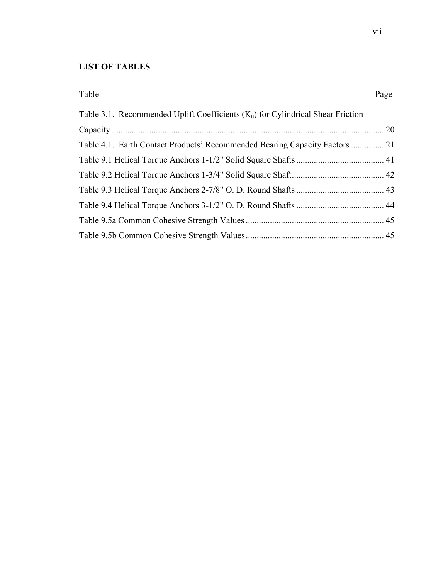# **LIST OF TABLES**

#### Table Page

| Table 3.1. Recommended Uplift Coefficients $(K_u)$ for Cylindrical Shear Friction |  |
|-----------------------------------------------------------------------------------|--|
|                                                                                   |  |
| Table 4.1. Earth Contact Products' Recommended Bearing Capacity Factors  21       |  |
|                                                                                   |  |
|                                                                                   |  |
|                                                                                   |  |
|                                                                                   |  |
|                                                                                   |  |
|                                                                                   |  |
|                                                                                   |  |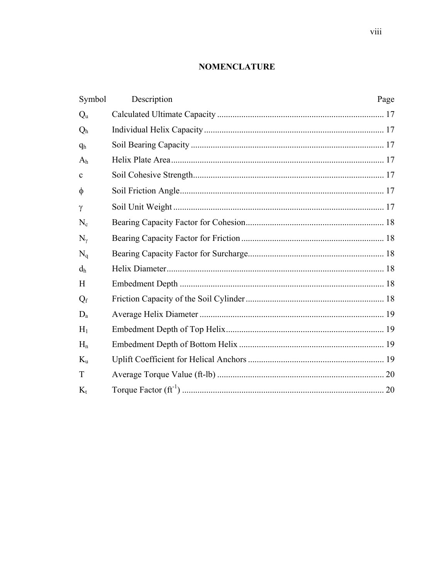# **NOMENCLATURE**

| Symbol         | Description | Page |  |  |
|----------------|-------------|------|--|--|
| $Q_{u}$        |             |      |  |  |
| Q <sub>h</sub> |             |      |  |  |
| q <sub>h</sub> |             |      |  |  |
| A <sub>h</sub> |             |      |  |  |
| $\mathbf c$    |             |      |  |  |
| $\phi$         |             |      |  |  |
| $\gamma$       |             |      |  |  |
| $N_c$          |             |      |  |  |
| $N_{\nu}$      |             |      |  |  |
| $N_q$          |             |      |  |  |
| d <sub>h</sub> |             |      |  |  |
| H              |             |      |  |  |
| $Q_{\rm f}$    |             |      |  |  |
| $D_{a}$        |             |      |  |  |
| $H_1$          |             |      |  |  |
| $H_n$          |             |      |  |  |
| $K_{\rm u}$    |             |      |  |  |
| T              |             |      |  |  |
| $K_{t}$        |             |      |  |  |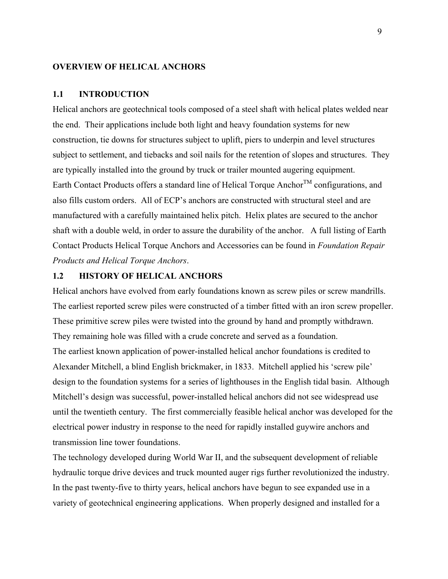#### **OVERVIEW OF HELICAL ANCHORS**

#### **1.1 INTRODUCTION**

Helical anchors are geotechnical tools composed of a steel shaft with helical plates welded near the end. Their applications include both light and heavy foundation systems for new construction, tie downs for structures subject to uplift, piers to underpin and level structures subject to settlement, and tiebacks and soil nails for the retention of slopes and structures. They are typically installed into the ground by truck or trailer mounted augering equipment. Earth Contact Products offers a standard line of Helical Torque Anchor<sup>TM</sup> configurations, and also fills custom orders. All of ECP's anchors are constructed with structural steel and are manufactured with a carefully maintained helix pitch. Helix plates are secured to the anchor shaft with a double weld, in order to assure the durability of the anchor. A full listing of Earth Contact Products Helical Torque Anchors and Accessories can be found in *Foundation Repair Products and Helical Torque Anchors*.

#### **1.2 HISTORY OF HELICAL ANCHORS**

Helical anchors have evolved from early foundations known as screw piles or screw mandrills. The earliest reported screw piles were constructed of a timber fitted with an iron screw propeller. These primitive screw piles were twisted into the ground by hand and promptly withdrawn. They remaining hole was filled with a crude concrete and served as a foundation. The earliest known application of power-installed helical anchor foundations is credited to Alexander Mitchell, a blind English brickmaker, in 1833. Mitchell applied his 'screw pile' design to the foundation systems for a series of lighthouses in the English tidal basin. Although Mitchell's design was successful, power-installed helical anchors did not see widespread use until the twentieth century. The first commercially feasible helical anchor was developed for the electrical power industry in response to the need for rapidly installed guywire anchors and transmission line tower foundations.

The technology developed during World War II, and the subsequent development of reliable hydraulic torque drive devices and truck mounted auger rigs further revolutionized the industry. In the past twenty-five to thirty years, helical anchors have begun to see expanded use in a variety of geotechnical engineering applications. When properly designed and installed for a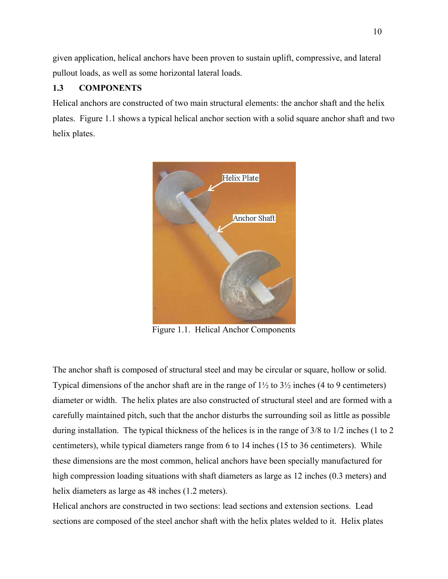given application, helical anchors have been proven to sustain uplift, compressive, and lateral pullout loads, as well as some horizontal lateral loads.

# **1.3 COMPONENTS**

Helical anchors are constructed of two main structural elements: the anchor shaft and the helix plates. Figure 1.1 shows a typical helical anchor section with a solid square anchor shaft and two helix plates.



Figure 1.1. Helical Anchor Components

The anchor shaft is composed of structural steel and may be circular or square, hollow or solid. Typical dimensions of the anchor shaft are in the range of  $1\frac{1}{2}$  to  $3\frac{1}{2}$  inches (4 to 9 centimeters) diameter or width. The helix plates are also constructed of structural steel and are formed with a carefully maintained pitch, such that the anchor disturbs the surrounding soil as little as possible during installation. The typical thickness of the helices is in the range of 3/8 to 1/2 inches (1 to 2 centimeters), while typical diameters range from 6 to 14 inches (15 to 36 centimeters). While these dimensions are the most common, helical anchors have been specially manufactured for high compression loading situations with shaft diameters as large as 12 inches (0.3 meters) and helix diameters as large as 48 inches  $(1.2 \text{ meters})$ .

Helical anchors are constructed in two sections: lead sections and extension sections. Lead sections are composed of the steel anchor shaft with the helix plates welded to it. Helix plates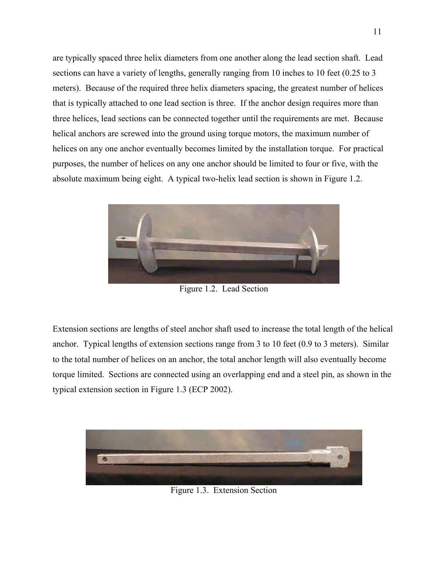are typically spaced three helix diameters from one another along the lead section shaft. Lead sections can have a variety of lengths, generally ranging from 10 inches to 10 feet (0.25 to 3) meters). Because of the required three helix diameters spacing, the greatest number of helices that is typically attached to one lead section is three. If the anchor design requires more than three helices, lead sections can be connected together until the requirements are met. Because helical anchors are screwed into the ground using torque motors, the maximum number of helices on any one anchor eventually becomes limited by the installation torque. For practical purposes, the number of helices on any one anchor should be limited to four or five, with the absolute maximum being eight. A typical two-helix lead section is shown in Figure 1.2.



Figure 1.2. Lead Section

Extension sections are lengths of steel anchor shaft used to increase the total length of the helical anchor. Typical lengths of extension sections range from 3 to 10 feet (0.9 to 3 meters). Similar to the total number of helices on an anchor, the total anchor length will also eventually become torque limited. Sections are connected using an overlapping end and a steel pin, as shown in the typical extension section in Figure 1.3 (ECP 2002).



Figure 1.3. Extension Section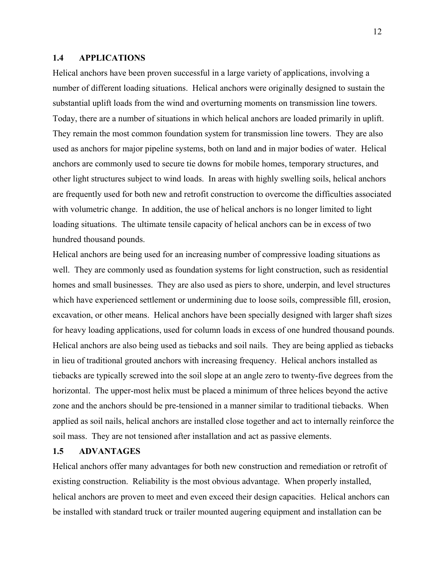#### **1.4 APPLICATIONS**

Helical anchors have been proven successful in a large variety of applications, involving a number of different loading situations. Helical anchors were originally designed to sustain the substantial uplift loads from the wind and overturning moments on transmission line towers. Today, there are a number of situations in which helical anchors are loaded primarily in uplift. They remain the most common foundation system for transmission line towers. They are also used as anchors for major pipeline systems, both on land and in major bodies of water. Helical anchors are commonly used to secure tie downs for mobile homes, temporary structures, and other light structures subject to wind loads. In areas with highly swelling soils, helical anchors are frequently used for both new and retrofit construction to overcome the difficulties associated with volumetric change. In addition, the use of helical anchors is no longer limited to light loading situations. The ultimate tensile capacity of helical anchors can be in excess of two hundred thousand pounds.

Helical anchors are being used for an increasing number of compressive loading situations as well. They are commonly used as foundation systems for light construction, such as residential homes and small businesses. They are also used as piers to shore, underpin, and level structures which have experienced settlement or undermining due to loose soils, compressible fill, erosion, excavation, or other means. Helical anchors have been specially designed with larger shaft sizes for heavy loading applications, used for column loads in excess of one hundred thousand pounds. Helical anchors are also being used as tiebacks and soil nails. They are being applied as tiebacks in lieu of traditional grouted anchors with increasing frequency. Helical anchors installed as tiebacks are typically screwed into the soil slope at an angle zero to twenty-five degrees from the horizontal. The upper-most helix must be placed a minimum of three helices beyond the active zone and the anchors should be pre-tensioned in a manner similar to traditional tiebacks. When applied as soil nails, helical anchors are installed close together and act to internally reinforce the soil mass. They are not tensioned after installation and act as passive elements.

#### **1.5 ADVANTAGES**

Helical anchors offer many advantages for both new construction and remediation or retrofit of existing construction. Reliability is the most obvious advantage. When properly installed, helical anchors are proven to meet and even exceed their design capacities. Helical anchors can be installed with standard truck or trailer mounted augering equipment and installation can be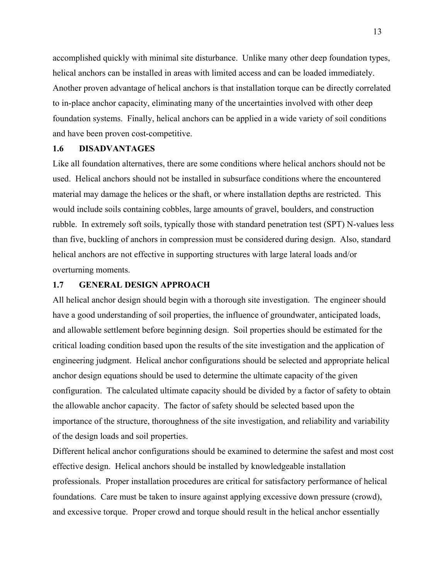accomplished quickly with minimal site disturbance. Unlike many other deep foundation types, helical anchors can be installed in areas with limited access and can be loaded immediately. Another proven advantage of helical anchors is that installation torque can be directly correlated to in-place anchor capacity, eliminating many of the uncertainties involved with other deep foundation systems. Finally, helical anchors can be applied in a wide variety of soil conditions and have been proven cost-competitive.

#### **1.6 DISADVANTAGES**

Like all foundation alternatives, there are some conditions where helical anchors should not be used. Helical anchors should not be installed in subsurface conditions where the encountered material may damage the helices or the shaft, or where installation depths are restricted. This would include soils containing cobbles, large amounts of gravel, boulders, and construction rubble. In extremely soft soils, typically those with standard penetration test (SPT) N-values less than five, buckling of anchors in compression must be considered during design. Also, standard helical anchors are not effective in supporting structures with large lateral loads and/or overturning moments.

#### **1.7 GENERAL DESIGN APPROACH**

All helical anchor design should begin with a thorough site investigation. The engineer should have a good understanding of soil properties, the influence of groundwater, anticipated loads, and allowable settlement before beginning design. Soil properties should be estimated for the critical loading condition based upon the results of the site investigation and the application of engineering judgment. Helical anchor configurations should be selected and appropriate helical anchor design equations should be used to determine the ultimate capacity of the given configuration. The calculated ultimate capacity should be divided by a factor of safety to obtain the allowable anchor capacity. The factor of safety should be selected based upon the importance of the structure, thoroughness of the site investigation, and reliability and variability of the design loads and soil properties.

Different helical anchor configurations should be examined to determine the safest and most cost effective design. Helical anchors should be installed by knowledgeable installation professionals. Proper installation procedures are critical for satisfactory performance of helical foundations. Care must be taken to insure against applying excessive down pressure (crowd), and excessive torque. Proper crowd and torque should result in the helical anchor essentially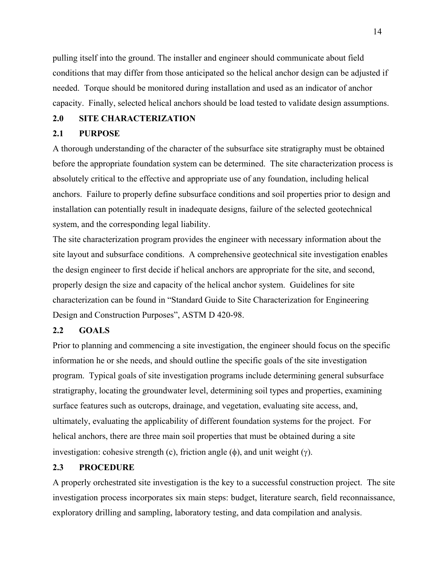pulling itself into the ground. The installer and engineer should communicate about field conditions that may differ from those anticipated so the helical anchor design can be adjusted if needed. Torque should be monitored during installation and used as an indicator of anchor capacity. Finally, selected helical anchors should be load tested to validate design assumptions.

#### **2.0 SITE CHARACTERIZATION**

#### **2.1 PURPOSE**

A thorough understanding of the character of the subsurface site stratigraphy must be obtained before the appropriate foundation system can be determined. The site characterization process is absolutely critical to the effective and appropriate use of any foundation, including helical anchors. Failure to properly define subsurface conditions and soil properties prior to design and installation can potentially result in inadequate designs, failure of the selected geotechnical system, and the corresponding legal liability.

The site characterization program provides the engineer with necessary information about the site layout and subsurface conditions. A comprehensive geotechnical site investigation enables the design engineer to first decide if helical anchors are appropriate for the site, and second, properly design the size and capacity of the helical anchor system. Guidelines for site characterization can be found in "Standard Guide to Site Characterization for Engineering Design and Construction Purposes", ASTM D 420-98.

#### **2.2 GOALS**

Prior to planning and commencing a site investigation, the engineer should focus on the specific information he or she needs, and should outline the specific goals of the site investigation program. Typical goals of site investigation programs include determining general subsurface stratigraphy, locating the groundwater level, determining soil types and properties, examining surface features such as outcrops, drainage, and vegetation, evaluating site access, and, ultimately, evaluating the applicability of different foundation systems for the project. For helical anchors, there are three main soil properties that must be obtained during a site investigation: cohesive strength (c), friction angle ( $\phi$ ), and unit weight (γ).

#### **2.3 PROCEDURE**

A properly orchestrated site investigation is the key to a successful construction project. The site investigation process incorporates six main steps: budget, literature search, field reconnaissance, exploratory drilling and sampling, laboratory testing, and data compilation and analysis.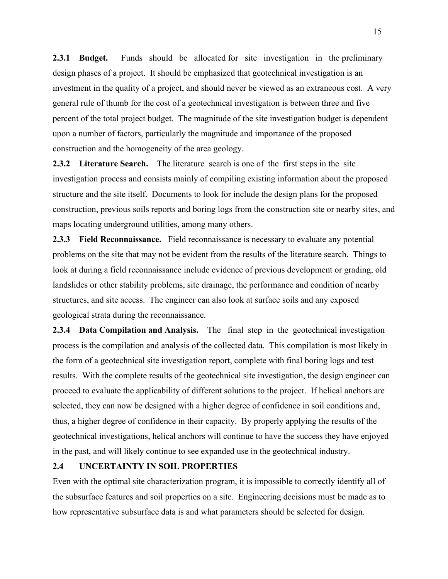**2.3.1 Budget.** Funds should be allocated for site investigation in the preliminary design phases of a project. It should be emphasized that geotechnical investigation is an investment in the quality of a project, and should never be viewed as an extraneous cost. A very general rule of thumb for the cost of a geotechnical investigation is between three and five percent of the total project budget. The magnitude of the site investigation budget is dependent upon a number of factors, particularly the magnitude and importance of the proposed construction and the homogeneity of the area geology.

**2.3.2 Literature Search.** The literature search is one of the first steps in the site investigation process and consists mainly of compiling existing information about the proposed structure and the site itself. Documents to look for include the design plans for the proposed construction, previous soils reports and boring logs from the construction site or nearby sites, and maps locating underground utilities, among many others.

**2.3.3 Field Reconnaissance.** Field reconnaissance is necessary to evaluate any potential problems on the site that may not be evident from the results of the literature search. Things to look at during a field reconnaissance include evidence of previous development or grading, old landslides or other stability problems, site drainage, the performance and condition of nearby structures, and site access. The engineer can also look at surface soils and any exposed geological strata during the reconnaissance.

**2.3.4 Data Compilation and Analysis.** The final step in the geotechnical investigation process is the compilation and analysis of the collected data. This compilation is most likely in the form of a geotechnical site investigation report, complete with final boring logs and test results. With the complete results of the geotechnical site investigation, the design engineer can proceed to evaluate the applicability of different solutions to the project. If helical anchors are selected, they can now be designed with a higher degree of confidence in soil conditions and, thus, a higher degree of confidence in their capacity. By properly applying the results of the geotechnical investigations, helical anchors will continue to have the success they have enjoyed in the past, and will likely continue to see expanded use in the geotechnical industry.

#### **2.4 UNCERTAINTY IN SOIL PROPERTIES**

Even with the optimal site characterization program, it is impossible to correctly identify all of the subsurface features and soil properties on a site. Engineering decisions must be made as to how representative subsurface data is and what parameters should be selected for design.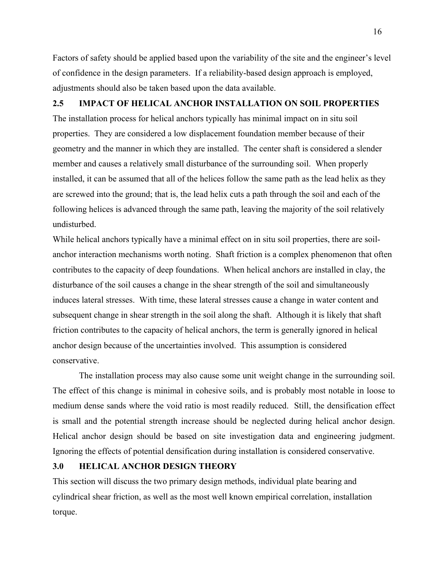Factors of safety should be applied based upon the variability of the site and the engineer's level of confidence in the design parameters. If a reliability-based design approach is employed, adjustments should also be taken based upon the data available.

#### **2.5 IMPACT OF HELICAL ANCHOR INSTALLATION ON SOIL PROPERTIES**

The installation process for helical anchors typically has minimal impact on in situ soil properties. They are considered a low displacement foundation member because of their geometry and the manner in which they are installed. The center shaft is considered a slender member and causes a relatively small disturbance of the surrounding soil. When properly installed, it can be assumed that all of the helices follow the same path as the lead helix as they are screwed into the ground; that is, the lead helix cuts a path through the soil and each of the following helices is advanced through the same path, leaving the majority of the soil relatively undisturbed.

While helical anchors typically have a minimal effect on in situ soil properties, there are soilanchor interaction mechanisms worth noting. Shaft friction is a complex phenomenon that often contributes to the capacity of deep foundations. When helical anchors are installed in clay, the disturbance of the soil causes a change in the shear strength of the soil and simultaneously induces lateral stresses. With time, these lateral stresses cause a change in water content and subsequent change in shear strength in the soil along the shaft. Although it is likely that shaft friction contributes to the capacity of helical anchors, the term is generally ignored in helical anchor design because of the uncertainties involved. This assumption is considered conservative.

The installation process may also cause some unit weight change in the surrounding soil. The effect of this change is minimal in cohesive soils, and is probably most notable in loose to medium dense sands where the void ratio is most readily reduced. Still, the densification effect is small and the potential strength increase should be neglected during helical anchor design. Helical anchor design should be based on site investigation data and engineering judgment. Ignoring the effects of potential densification during installation is considered conservative.

#### **3.0 HELICAL ANCHOR DESIGN THEORY**

This section will discuss the two primary design methods, individual plate bearing and cylindrical shear friction, as well as the most well known empirical correlation, installation torque.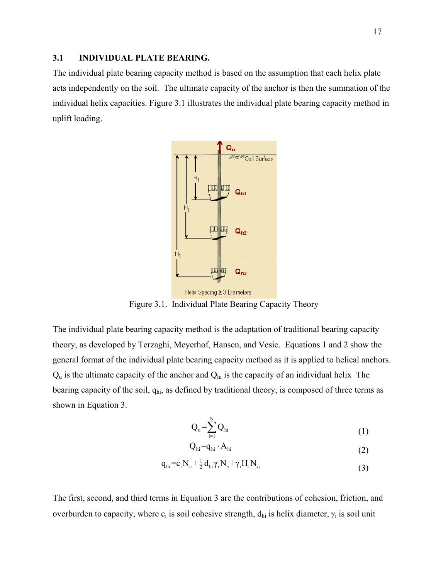#### **3.1 INDIVIDUAL PLATE BEARING.**

The individual plate bearing capacity method is based on the assumption that each helix plate acts independently on the soil. The ultimate capacity of the anchor is then the summation of the individual helix capacities. Figure 3.1 illustrates the individual plate bearing capacity method in uplift loading.



Figure 3.1. Individual Plate Bearing Capacity Theory

The individual plate bearing capacity method is the adaptation of traditional bearing capacity theory, as developed by Terzaghi, Meyerhof, Hansen, and Vesic. Equations 1 and 2 show the general format of the individual plate bearing capacity method as it is applied to helical anchors.  $Q_u$  is the ultimate capacity of the anchor and  $Q_{hi}$  is the capacity of an individual helix The bearing capacity of the soil,  $q<sub>hi</sub>$ , as defined by traditional theory, is composed of three terms as shown in Equation 3.

N

$$
Q_{u} = \sum_{i=1}^{N} Q_{hi} \tag{1}
$$

$$
Q_{hi} = q_{hi} \cdot A_{hi} \tag{2}
$$

$$
q_{hi} = c_i N_c + \frac{1}{2} d_{hi} \gamma_i N_\gamma + \gamma_i H_i N_q
$$
\n(3)

The first, second, and third terms in Equation 3 are the contributions of cohesion, friction, and overburden to capacity, where  $c_i$  is soil cohesive strength,  $d_{hi}$  is helix diameter,  $\gamma_i$  is soil unit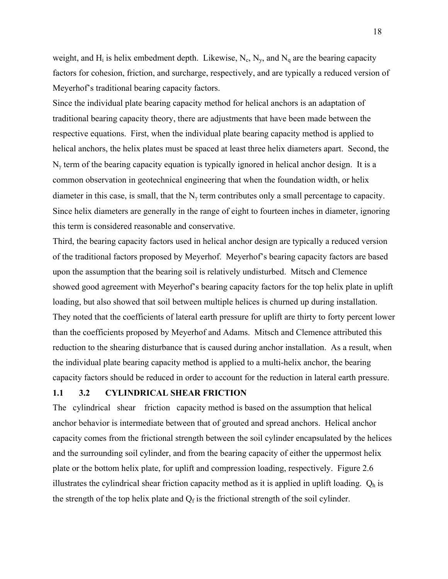weight, and  $H_i$  is helix embedment depth. Likewise,  $N_c$ ,  $N_y$ , and  $N_q$  are the bearing capacity factors for cohesion, friction, and surcharge, respectively, and are typically a reduced version of Meyerhof's traditional bearing capacity factors.

Since the individual plate bearing capacity method for helical anchors is an adaptation of traditional bearing capacity theory, there are adjustments that have been made between the respective equations. First, when the individual plate bearing capacity method is applied to helical anchors, the helix plates must be spaced at least three helix diameters apart. Second, the  $N_{\gamma}$  term of the bearing capacity equation is typically ignored in helical anchor design. It is a common observation in geotechnical engineering that when the foundation width, or helix diameter in this case, is small, that the  $N_{\gamma}$  term contributes only a small percentage to capacity. Since helix diameters are generally in the range of eight to fourteen inches in diameter, ignoring this term is considered reasonable and conservative.

Third, the bearing capacity factors used in helical anchor design are typically a reduced version of the traditional factors proposed by Meyerhof. Meyerhof's bearing capacity factors are based upon the assumption that the bearing soil is relatively undisturbed. Mitsch and Clemence showed good agreement with Meyerhof's bearing capacity factors for the top helix plate in uplift loading, but also showed that soil between multiple helices is churned up during installation. They noted that the coefficients of lateral earth pressure for uplift are thirty to forty percent lower than the coefficients proposed by Meyerhof and Adams. Mitsch and Clemence attributed this reduction to the shearing disturbance that is caused during anchor installation. As a result, when the individual plate bearing capacity method is applied to a multi-helix anchor, the bearing capacity factors should be reduced in order to account for the reduction in lateral earth pressure.

#### **1.1 3.2 CYLINDRICAL SHEAR FRICTION**

The cylindrical shear friction capacity method is based on the assumption that helical anchor behavior is intermediate between that of grouted and spread anchors. Helical anchor capacity comes from the frictional strength between the soil cylinder encapsulated by the helices and the surrounding soil cylinder, and from the bearing capacity of either the uppermost helix plate or the bottom helix plate, for uplift and compression loading, respectively. Figure 2.6 illustrates the cylindrical shear friction capacity method as it is applied in uplift loading.  $Q_h$  is the strength of the top helix plate and  $Q_f$  is the frictional strength of the soil cylinder.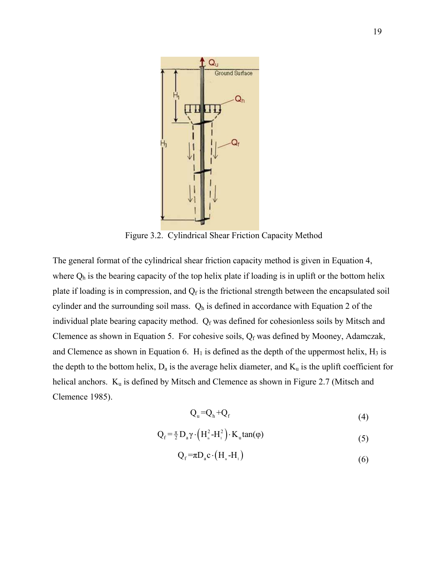

Figure 3.2. Cylindrical Shear Friction Capacity Method

The general format of the cylindrical shear friction capacity method is given in Equation 4, where  $Q_h$  is the bearing capacity of the top helix plate if loading is in uplift or the bottom helix plate if loading is in compression, and  $Q_f$  is the frictional strength between the encapsulated soil cylinder and the surrounding soil mass.  $Q_h$  is defined in accordance with Equation 2 of the individual plate bearing capacity method.  $Q_f$  was defined for cohesionless soils by Mitsch and Clemence as shown in Equation 5. For cohesive soils,  $Q_f$  was defined by Mooney, Adamczak, and Clemence as shown in Equation 6.  $H_1$  is defined as the depth of the uppermost helix,  $H_3$  is the depth to the bottom helix,  $D_a$  is the average helix diameter, and  $K_u$  is the uplift coefficient for helical anchors.  $K_u$  is defined by Mitsch and Clemence as shown in Figure 2.7 (Mitsch and Clemence 1985).

$$
Q_{u} = Q_{h} + Q_{f}
$$
 (4)

$$
Q_f = \frac{\pi}{2} D_a \gamma \cdot \left( H_a^2 - H_i^2 \right) \cdot K_u \tan(\varphi) \tag{5}
$$

$$
Q_f = \pi D_a c \cdot (H_a - H_1) \tag{6}
$$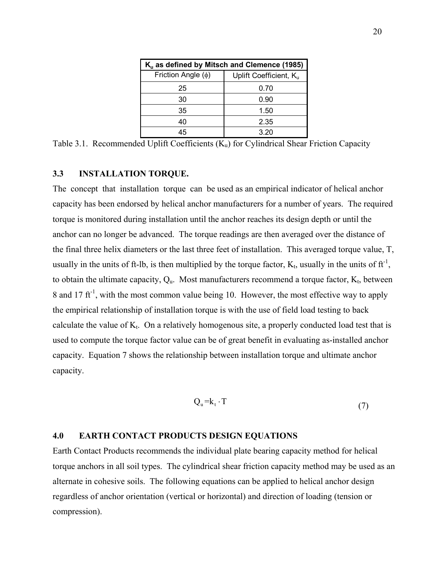| K <sub>u</sub> as defined by Mitsch and Clemence (1985) |                                    |  |
|---------------------------------------------------------|------------------------------------|--|
| Friction Angle $(\phi)$                                 | Uplift Coefficient, K <sub>u</sub> |  |
| 25                                                      | 0.70                               |  |
| 30                                                      | 0.90                               |  |
| 35                                                      | 1.50                               |  |
| 40                                                      | 2.35                               |  |
| 15                                                      | 3.20                               |  |

Table 3.1. Recommended Uplift Coefficients  $(K_u)$  for Cylindrical Shear Friction Capacity

#### **3.3 INSTALLATION TORQUE.**

The concept that installation torque can be used as an empirical indicator of helical anchor capacity has been endorsed by helical anchor manufacturers for a number of years. The required torque is monitored during installation until the anchor reaches its design depth or until the anchor can no longer be advanced. The torque readings are then averaged over the distance of the final three helix diameters or the last three feet of installation. This averaged torque value, T, usually in the units of ft-lb, is then multiplied by the torque factor,  $K_t$ , usually in the units of  $ft^{-1}$ , to obtain the ultimate capacity,  $Q_u$ . Most manufacturers recommend a torque factor,  $K_t$ , between 8 and 17 ft<sup>-1</sup>, with the most common value being 10. However, the most effective way to apply the empirical relationship of installation torque is with the use of field load testing to back calculate the value of  $K_t$ . On a relatively homogenous site, a properly conducted load test that is used to compute the torque factor value can be of great benefit in evaluating as-installed anchor capacity. Equation 7 shows the relationship between installation torque and ultimate anchor capacity.

$$
Q_{u} = k_{t} \cdot T \tag{7}
$$

#### **4.0 EARTH CONTACT PRODUCTS DESIGN EQUATIONS**

Earth Contact Products recommends the individual plate bearing capacity method for helical torque anchors in all soil types. The cylindrical shear friction capacity method may be used as an alternate in cohesive soils. The following equations can be applied to helical anchor design regardless of anchor orientation (vertical or horizontal) and direction of loading (tension or compression).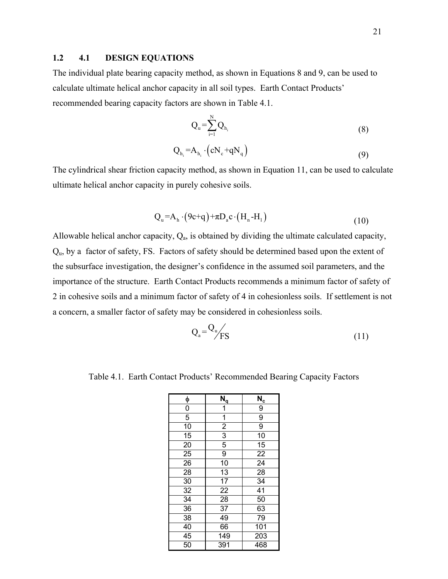#### **1.2 4.1 DESIGN EQUATIONS**

The individual plate bearing capacity method, as shown in Equations 8 and 9, can be used to calculate ultimate helical anchor capacity in all soil types. Earth Contact Products' recommended bearing capacity factors are shown in Table 4.1.

$$
Q_{u} = \sum_{i=1}^{N} Q_{h_i} \tag{8}
$$

$$
Q_{h_i} = A_{h_i} \cdot (cN_c + qN_q)
$$
\n(9)

The cylindrical shear friction capacity method, as shown in Equation 11, can be used to calculate ultimate helical anchor capacity in purely cohesive soils.

$$
Q_{u} = A_{h} \cdot (9c + q) + \pi D_{a} c \cdot (H_{n} - H_{1})
$$
\n(10)

Allowable helical anchor capacity,  $Q_a$ , is obtained by dividing the ultimate calculated capacity, Qu, by a factor of safety, FS. Factors of safety should be determined based upon the extent of the subsurface investigation, the designer's confidence in the assumed soil parameters, and the importance of the structure. Earth Contact Products recommends a minimum factor of safety of 2 in cohesive soils and a minimum factor of safety of 4 in cohesionless soils. If settlement is not a concern, a smaller factor of safety may be considered in cohesionless soils.

$$
Q_a = \frac{Q_u}{FS} \tag{11}
$$

Table 4.1. Earth Contact Products' Recommended Bearing Capacity Factors

| φ  | $N_q$                   | $N_c$ |
|----|-------------------------|-------|
| 0  | $\overline{\mathbf{1}}$ | 9     |
| 5  | $\overline{\mathbf{1}}$ | 9     |
| 10 | $\frac{2}{3}$           | 9     |
| 15 |                         | 10    |
| 20 | 5                       | 15    |
| 25 | 9                       | 22    |
| 26 | 10                      | 24    |
| 28 | 13                      | 28    |
| 30 | 17                      | 34    |
| 32 | 22                      | 41    |
| 34 | 28                      | 50    |
| 36 | 37                      | 63    |
| 38 | 49                      | 79    |
| 40 | 66                      | 101   |
| 45 | 149                     | 203   |
| 50 | 391                     | 468   |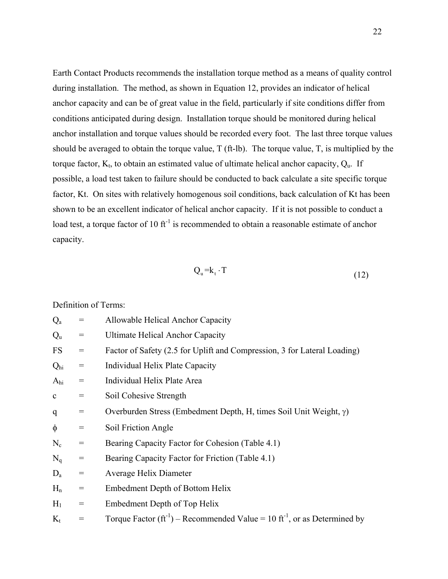Earth Contact Products recommends the installation torque method as a means of quality control during installation. The method, as shown in Equation 12, provides an indicator of helical anchor capacity and can be of great value in the field, particularly if site conditions differ from conditions anticipated during design. Installation torque should be monitored during helical anchor installation and torque values should be recorded every foot. The last three torque values should be averaged to obtain the torque value, T (ft-lb). The torque value, T, is multiplied by the torque factor,  $K_t$ , to obtain an estimated value of ultimate helical anchor capacity,  $Q_u$ . If possible, a load test taken to failure should be conducted to back calculate a site specific torque factor, Kt. On sites with relatively homogenous soil conditions, back calculation of Kt has been shown to be an excellent indicator of helical anchor capacity. If it is not possible to conduct a load test, a torque factor of 10  $ft^{-1}$  is recommended to obtain a reasonable estimate of anchor capacity.

$$
Q_{u} = k_{t} \cdot T \tag{12}
$$

Definition of Terms:

| $Q_{a}$         | $\displaystyle \qquad \qquad =$ | Allowable Helical Anchor Capacity                                                         |
|-----------------|---------------------------------|-------------------------------------------------------------------------------------------|
| $Q_{u}$         | $=$                             | <b>Ultimate Helical Anchor Capacity</b>                                                   |
| <b>FS</b>       | $=$                             | Factor of Safety (2.5 for Uplift and Compression, 3 for Lateral Loading)                  |
| Q <sub>hi</sub> | $=$                             | Individual Helix Plate Capacity                                                           |
| A <sub>hi</sub> | $=$                             | Individual Helix Plate Area                                                               |
| $\mathbf c$     | $=$                             | Soil Cohesive Strength                                                                    |
| q               | $=$                             | Overburden Stress (Embedment Depth, H, times Soil Unit Weight, $\gamma$ )                 |
| $\phi$          | $=$                             | Soil Friction Angle                                                                       |
| $N_c$           | $=$                             | Bearing Capacity Factor for Cohesion (Table 4.1)                                          |
| $N_q$           | $=$                             | Bearing Capacity Factor for Friction (Table 4.1)                                          |
| $D_a$           | $=$                             | Average Helix Diameter                                                                    |
| $H_n$           | $=$                             | Embedment Depth of Bottom Helix                                                           |
| $H_1$           | $=$                             | Embedment Depth of Top Helix                                                              |
| $K_t$           |                                 | Torque Factor $(ft^{-1})$ – Recommended Value = 10 ft <sup>-1</sup> , or as Determined by |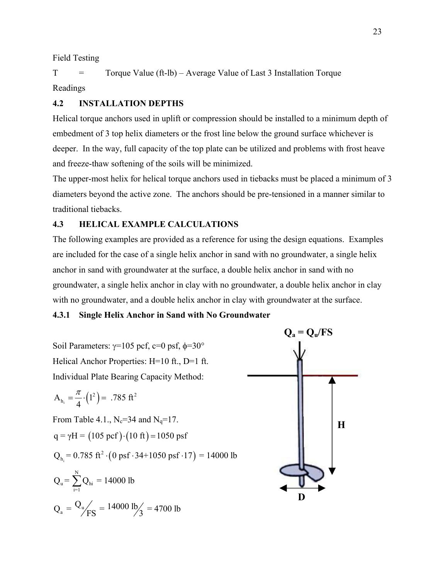Field Testing

 $T =$  Torque Value (ft-lb) – Average Value of Last 3 Installation Torque Readings

## **4.2 INSTALLATION DEPTHS**

Helical torque anchors used in uplift or compression should be installed to a minimum depth of embedment of 3 top helix diameters or the frost line below the ground surface whichever is deeper. In the way, full capacity of the top plate can be utilized and problems with frost heave and freeze-thaw softening of the soils will be minimized.

The upper-most helix for helical torque anchors used in tiebacks must be placed a minimum of 3 diameters beyond the active zone. The anchors should be pre-tensioned in a manner similar to traditional tiebacks.

### **4.3 HELICAL EXAMPLE CALCULATIONS**

The following examples are provided as a reference for using the design equations. Examples are included for the case of a single helix anchor in sand with no groundwater, a single helix anchor in sand with groundwater at the surface, a double helix anchor in sand with no groundwater, a single helix anchor in clay with no groundwater, a double helix anchor in clay with no groundwater, and a double helix anchor in clay with groundwater at the surface.

#### **4.3.1 Single Helix Anchor in Sand with No Groundwater**

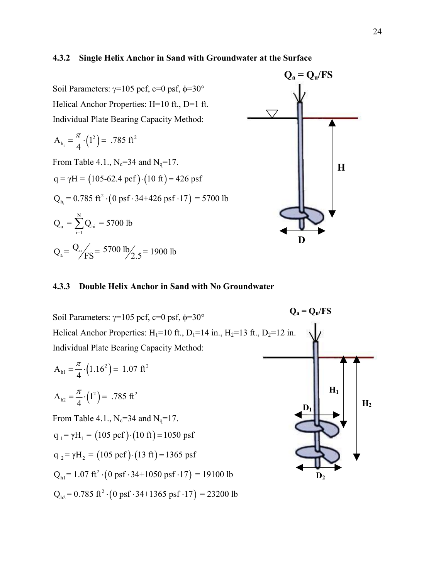#### **4.3.2 Single Helix Anchor in Sand with Groundwater at the Surface**

Soil Parameters:  $\gamma$ =105 pcf, c=0 psf, φ=30° Helical Anchor Properties: H=10 ft., D=1 ft. Individual Plate Bearing Capacity Method:

$$
A_{h_i} = \frac{\pi}{4} \cdot \left(1^2\right) = .785 \text{ ft}^2
$$

From Table 4.1.,  $N_c = 34$  and  $N_q = 17$ .  $q = \gamma H = (105-62.4 \text{ pcf}) \cdot (10 \text{ ft}) = 426 \text{ psf}$  $Q_{h_i}$  = 0.785 ft<sup>2</sup> · (0 psf · 34+426 psf · 17) = 5700 lb

$$
Q_{u} = \sum_{i=1}^{N} Q_{hi} = 5700 \text{ lb}
$$
  

$$
Q_{a} = \frac{Q_{u}}{FS} = 5700 \text{ lb} / 2.5 = 1900 \text{ lb}
$$



#### **4.3.3 Double Helix Anchor in Sand with No Groundwater**

Soil Parameters:  $\gamma$ =105 pcf, c=0 psf, φ=30° Helical Anchor Properties:  $H_1=10$  ft.,  $D_1=14$  in.,  $H_2=13$  ft.,  $D_2=12$  in. Individual Plate Bearing Capacity Method:

$$
A_{h1} = \frac{\pi}{4} \cdot (1.16^2) = 1.07 \text{ ft}^2
$$

$$
A_{h2} = \frac{\pi}{4} \cdot (1^2) = .785 \text{ ft}^2
$$

From Table 4.1.,  $N_c = 34$  and  $N_q = 17$ .

$$
q_1 = \gamma H_1 = (105 \text{ pcf}) \cdot (10 \text{ ft}) = 1050 \text{ psf}
$$

$$
q_2 = \gamma H_2 = (105 \text{ pcf}) \cdot (13 \text{ ft}) = 1365 \text{ psf}
$$

 $Q_{\text{h1}}$  = 1.07 ft<sup>2</sup>  $\cdot$  (0 psf  $\cdot$  34+1050 psf  $\cdot$  17) = 19100 lb

 $Q_{h2} = 0.785 \text{ ft}^2 \cdot (0 \text{ psf} \cdot 34+1365 \text{ psf} \cdot 17) = 23200 \text{ lb}$ 

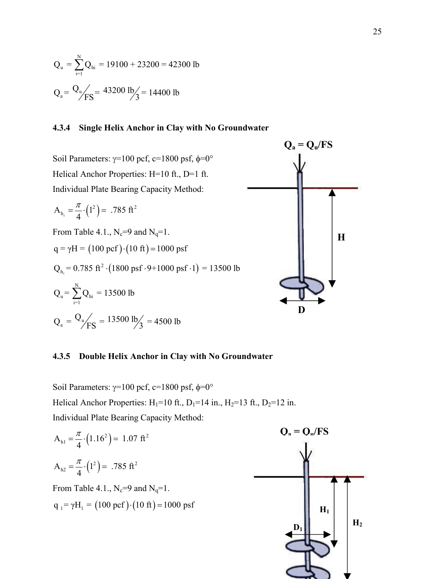$$
Q_{u} = \sum_{i=1}^{N} Q_{hi} = 19100 + 23200 = 42300 \text{ lb}
$$
  

$$
Q_{a} = \frac{Q_{u}}{FS} = 43200 \text{ lb/s} = 14400 \text{ lb}
$$

#### **4.3.4 Single Helix Anchor in Clay with No Groundwater**

Soil Parameters:  $γ=100$  pcf,  $c=1800$  psf,  $φ=0°$ Helical Anchor Properties: H=10 ft., D=1 ft. Individual Plate Bearing Capacity Method:

$$
A_{h_i} = \frac{\pi}{4} \cdot \left(1^2\right) = .785 \text{ ft}^2
$$

From Table 4.1.,  $N_c=9$  and  $N_q=1$ .

$$
q = \gamma H = (100 \text{ pcf}) \cdot (10 \text{ ft}) = 1000 \text{ psf}
$$

$$
Q_{h_i} = 0.785 \text{ ft}^2 \cdot (1800 \text{ psf} \cdot 9 + 1000 \text{ psf} \cdot 1) = 13500 \text{ lb}
$$

$$
Q_{u} = \sum_{i=1}^{N} Q_{hi} = 13500 \text{ lb}
$$
  

$$
Q_{a} = \frac{Q_{u}}{FS} = 13500 \text{ lb/s} = 4500 \text{ lb}
$$



#### **4.3.5 Double Helix Anchor in Clay with No Groundwater**

Soil Parameters:  $γ=100$  pcf,  $c=1800$  psf,  $φ=0°$ Helical Anchor Properties:  $H_1=10$  ft.,  $D_1=14$  in.,  $H_2=13$  ft.,  $D_2=12$  in. Individual Plate Bearing Capacity Method:

$$
A_{h1} = \frac{\pi}{4} \cdot (1.16^2) = 1.07 \text{ ft}^2
$$
  
\n
$$
A_{h2} = \frac{\pi}{4} \cdot (1^2) = .785 \text{ ft}^2
$$
  
\nFrom Table 4.1., N<sub>c</sub>=9 and N<sub>q</sub>=1.  
\n
$$
q_1 = \gamma H_1 = (100 \text{ pcf}) \cdot (10 \text{ ft}) = 1000 \text{ psf}
$$

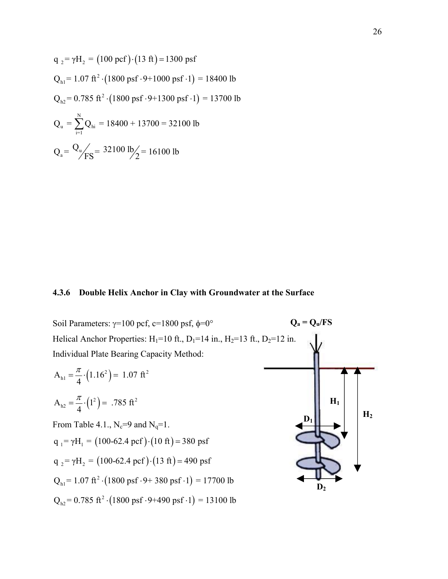$$
q_2 = \gamma H_2 = (100 \text{ pcf}) \cdot (13 \text{ ft}) = 1300 \text{ psf}
$$
  
\n
$$
Q_{h1} = 1.07 \text{ ft}^2 \cdot (1800 \text{ psf} \cdot 9 + 1000 \text{ psf} \cdot 1) = 18400 \text{ lb}
$$
  
\n
$$
Q_{h2} = 0.785 \text{ ft}^2 \cdot (1800 \text{ psf} \cdot 9 + 1300 \text{ psf} \cdot 1) = 13700 \text{ lb}
$$
  
\n
$$
Q_u = \sum_{i=1}^{N} Q_{hi} = 18400 + 13700 = 32100 \text{ lb}
$$
  
\n
$$
Q_a = \frac{Q_u}{fSS} = 32100 \text{ lb}/2 = 16100 \text{ lb}
$$

#### **4.3.6 Double Helix Anchor in Clay with Groundwater at the Surface**

 $Q_a = Q_u / FS$ **D1**  $\mathbf{D}_2$ **H2 H1**  Soil Parameters:  $γ=100$  pcf, c=1800 psf,  $φ=0°$ Helical Anchor Properties:  $H_1=10$  ft.,  $D_1=14$  in.,  $H_2=13$  ft.,  $D_2=12$  in. Individual Plate Bearing Capacity Method:  $A_{h1} = \frac{\pi}{4} \cdot (1.16^2) = 1.07 \text{ ft}^2$  $A_{h2} = \frac{\pi}{4} \cdot (1^2) = .785 \text{ ft}^2$ From Table 4.1.,  $N_c=9$  and  $N_q=1$ .  $q_1 = \gamma H_1 = (100-62.4 \text{ pcf}) \cdot (10 \text{ ft}) = 380 \text{ psf}$  $q_2 = \gamma H_2 = (100-62.4 \text{ pcf}) \cdot (13 \text{ ft}) = 490 \text{ psf}$  $Q_{\text{h1}}$  = 1.07 ft<sup>2</sup> · (1800 psf · 9+ 380 psf · 1) = 17700 lb  $Q_{h2}$  = 0.785 ft<sup>2</sup> · (1800 psf · 9+490 psf · 1) = 13100 lb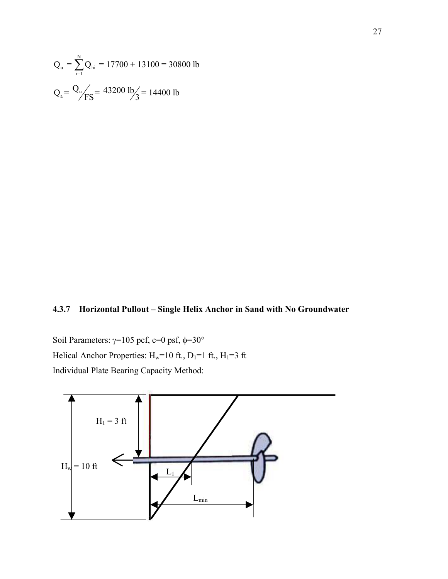$$
Q_{u} = \sum_{i=1}^{N} Q_{hi} = 17700 + 13100 = 30800 \text{ lb}
$$
  

$$
Q_{a} = \frac{Q_{u}}{FS} = 43200 \text{ lb/s} = 14400 \text{ lb}
$$

# **4.3.7 Horizontal Pullout – Single Helix Anchor in Sand with No Groundwater**

Soil Parameters:  $\gamma=105$  pcf, c=0 psf, φ=30° Helical Anchor Properties:  $H_w=10$  ft.,  $D_1=1$  ft.,  $H_1=3$  ft Individual Plate Bearing Capacity Method:

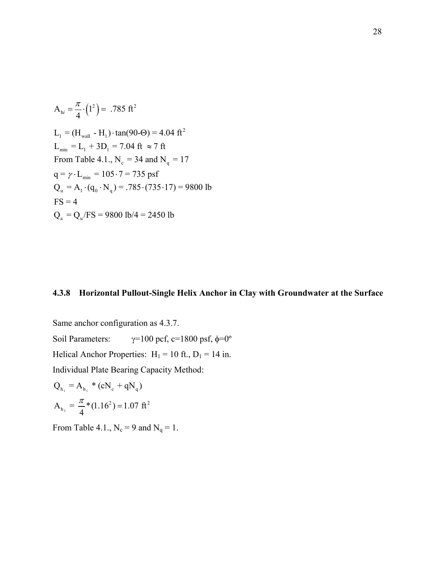$$
A_{hi} = \frac{\pi}{4} \cdot (1^2) = .785 \text{ ft}^2
$$
  
\n
$$
L_1 = (H_{wall} - H_1) \cdot \tan(90\text{·} \Theta) = 4.04 \text{ ft}^2
$$
  
\n
$$
L_{min} = L_1 + 3D_1 = 7.04 \text{ ft} \approx 7 \text{ ft}
$$
  
\nFrom Table 4.1., N<sub>c</sub> = 34 and N<sub>q</sub> = 17  
\n
$$
q = \gamma \cdot L_{min} = 105 \cdot 7 = 735 \text{ psf}
$$
  
\n
$$
Q_u = A_1 \cdot (q_0 \cdot N_q) = .785 \cdot (735 \cdot 17) = 9800 \text{ lb}
$$
  
\nFS = 4  
\n
$$
Q_a = Q_u / FS = 9800 \text{ lb} / 4 = 2450 \text{ lb}
$$

### **4.3.8 Horizontal Pullout-Single Helix Anchor in Clay with Groundwater at the Surface**

Same anchor configuration as 4.3.7. Soil Parameters:  $γ=100 \text{ pcf, } c=1800 \text{ psf, } φ=0°$ Helical Anchor Properties:  $H_1 = 10$  ft.,  $D_1 = 14$  in. Individual Plate Bearing Capacity Method:

$$
Q_{h_i} = A_{h_i} * (cN_c + qN_q)
$$
  

$$
A_{h_1} = \frac{\pi}{4} * (1.16^2) = 1.07 \text{ ft}^2
$$

From Table 4.1.,  $N_c = 9$  and  $N_q = 1$ .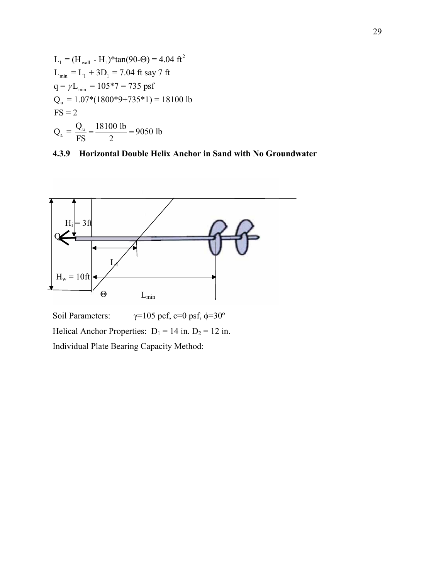





Soil Parameters:  $\gamma=105$  pcf, c=0 psf,  $\phi=30^\circ$ Helical Anchor Properties:  $D_1 = 14$  in.  $D_2 = 12$  in. Individual Plate Bearing Capacity Method: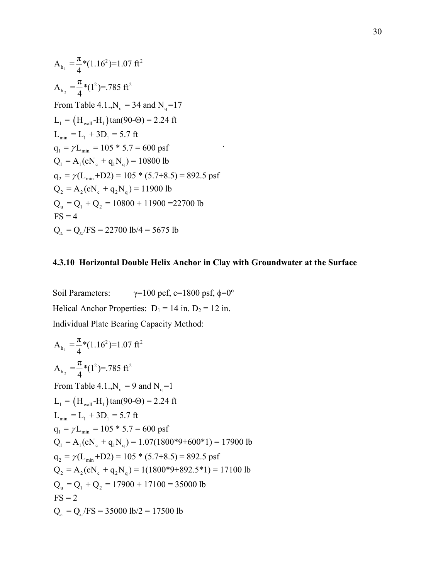$$
A_{h_1} = \frac{\pi}{4} * (1.16^2) = 1.07 \text{ ft}^2
$$
  
\n
$$
A_{h_2} = \frac{\pi}{4} * (1^2) = .785 \text{ ft}^2
$$
  
\nFrom Table 4.1.,  
\n
$$
N_c = 34 \text{ and } N_q = 17
$$
  
\n
$$
L_1 = (H_{wall} - H_1) \tan(90 - \Theta) = 2.24 \text{ ft}
$$
  
\n
$$
L_{min} = L_1 + 3D_1 = 5.7 \text{ ft}
$$
  
\n
$$
q_1 = \gamma L_{min} = 105 * 5.7 = 600 \text{ psf}
$$
  
\n
$$
Q_1 = A_1 (cN_c + q_1 N_q) = 10800 \text{ lb}
$$
  
\n
$$
q_2 = \gamma (L_{min} + D2) = 105 * (5.7 + 8.5) = 892.5 \text{ psf}
$$
  
\n
$$
Q_2 = A_2 (cN_c + q_2 N_q) = 11900 \text{ lb}
$$
  
\n
$$
Q_u = Q_1 + Q_2 = 10800 + 11900 = 22700 \text{ lb}
$$
  
\nFS = 4  
\n
$$
Q_a = Q_u / FS = 22700 \text{ lb} / 4 = 5675 \text{ lb}
$$

# **4.3.10 Horizontal Double Helix Anchor in Clay with Groundwater at the Surface**

.

Soil Parameters:  $\gamma=100 \text{ pcf}, \text{c}=1800 \text{ psf}, \phi=0^{\circ}$ Helical Anchor Properties:  $D_1 = 14$  in.  $D_2 = 12$  in. Individual Plate Bearing Capacity Method:

$$
A_{h_1} = \frac{\pi}{4} * (1.16^2) = 1.07 \text{ ft}^2
$$
  
\n
$$
A_{h_2} = \frac{\pi}{4} * (1^2) = .785 \text{ ft}^2
$$
  
\nFrom Table 4.1.,  
\n
$$
N_c = 9 \text{ and } N_q = 1
$$
  
\n
$$
L_1 = (H_{wall} - H_1) \tan(90 - \Theta) = 2.24 \text{ ft}
$$
  
\n
$$
L_{min} = L_1 + 3D_1 = 5.7 \text{ ft}
$$
  
\n
$$
q_1 = \gamma L_{min} = 105 * 5.7 = 600 \text{ psf}
$$
  
\n
$$
Q_1 = A_1 (cN_c + q_1 N_q) = 1.07(1800 * 9 + 600 * 1) = 17900 \text{ lb}
$$
  
\n
$$
q_2 = \gamma (L_{min} + D2) = 105 * (5.7 + 8.5) = 892.5 \text{ psf}
$$
  
\n
$$
Q_2 = A_2 (cN_c + q_2 N_q) = 1(1800 * 9 + 892.5 * 1) = 17100 \text{ lb}
$$
  
\n
$$
Q_u = Q_1 + Q_2 = 17900 + 17100 = 35000 \text{ lb}
$$
  
\n
$$
FS = 2
$$
  
\n
$$
Q_a = Q_u / FS = 35000 \text{ lb} / 2 = 17500 \text{ lb}
$$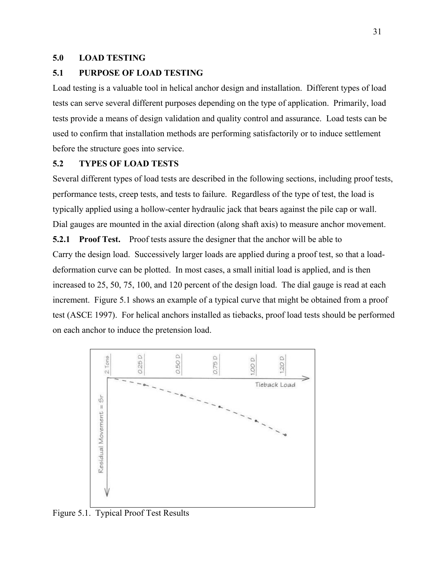#### **5.0 LOAD TESTING**

#### **5.1 PURPOSE OF LOAD TESTING**

Load testing is a valuable tool in helical anchor design and installation. Different types of load tests can serve several different purposes depending on the type of application. Primarily, load tests provide a means of design validation and quality control and assurance. Load tests can be used to confirm that installation methods are performing satisfactorily or to induce settlement before the structure goes into service.

#### **5.2 TYPES OF LOAD TESTS**

Several different types of load tests are described in the following sections, including proof tests, performance tests, creep tests, and tests to failure. Regardless of the type of test, the load is typically applied using a hollow-center hydraulic jack that bears against the pile cap or wall. Dial gauges are mounted in the axial direction (along shaft axis) to measure anchor movement.

**5.2.1 Proof Test.** Proof tests assure the designer that the anchor will be able to Carry the design load. Successively larger loads are applied during a proof test, so that a loaddeformation curve can be plotted. In most cases, a small initial load is applied, and is then increased to 25, 50, 75, 100, and 120 percent of the design load. The dial gauge is read at each increment. Figure 5.1 shows an example of a typical curve that might be obtained from a proof test (ASCE 1997). For helical anchors installed as tiebacks, proof load tests should be performed on each anchor to induce the pretension load.



Figure 5.1. Typical Proof Test Results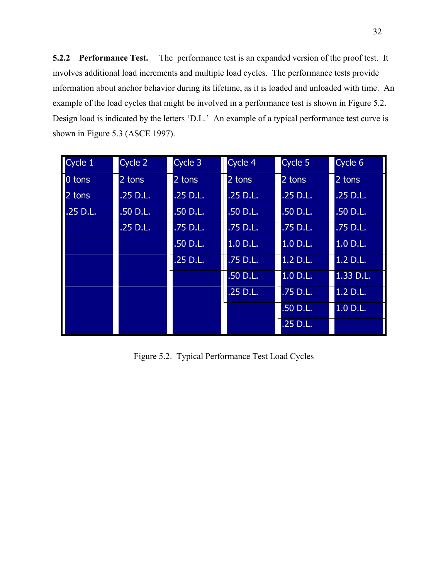**5.2.2 Performance Test.** The performance test is an expanded version of the proof test. It involves additional load increments and multiple load cycles. The performance tests provide information about anchor behavior during its lifetime, as it is loaded and unloaded with time. An example of the load cycles that might be involved in a performance test is shown in Figure 5.2. Design load is indicated by the letters 'D.L.' An example of a typical performance test curve is shown in Figure 5.3 (ASCE 1997).

| Cycle 1    | Cycle 2    | Cycle 3    | Cycle 4    | Cycle 5    | Cycle 6    |
|------------|------------|------------|------------|------------|------------|
| 0 tons     | 2 tons     | 2 tons     | 2 tons     | 2 tons     | 2 tons     |
| 2 tons     | $.25$ D.L. | $.25$ D.L. | $.25$ D.L. | $.25$ D.L. | $.25$ D.L. |
| $.25$ D.L. | .50 D.L.   | .50 D.L.   | .50 D.L.   | .50 D.L.   | .50 D.L.   |
|            | .25 D.L.   | .75 D.L.   | .75 D.L.   | .75 D.L.   | .75 D.L.   |
|            |            | .50 D.L.   | 1.0 D.L.   | 1.0 D.L.   | 1.0 D.L.   |
|            |            | $.25$ D.L. | .75 D.L.   | 1.2 D.L.   | 1.2 D.L.   |
|            |            |            | .50 D.L.   | 1.0 D.L.   | 1.33 D.L.  |
|            |            |            | $.25$ D.L. | .75 D.L.   | 1.2 D.L.   |
|            |            |            |            | $.50$ D.L. | 1.0 D.L.   |
|            |            |            |            | .25 D.L.   |            |

Figure 5.2. Typical Performance Test Load Cycles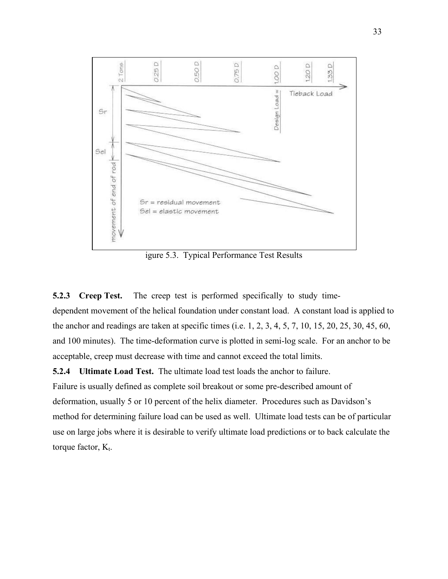

igure 5.3. Typical Performance Test Results

**5.2.3 Creep Test.** The creep test is performed specifically to study timedependent movement of the helical foundation under constant load. A constant load is applied to the anchor and readings are taken at specific times (i.e. 1, 2, 3, 4, 5, 7, 10, 15, 20, 25, 30, 45, 60, and 100 minutes). The time-deformation curve is plotted in semi-log scale. For an anchor to be acceptable, creep must decrease with time and cannot exceed the total limits.

**5.2.4 Ultimate Load Test.** The ultimate load test loads the anchor to failure. Failure is usually defined as complete soil breakout or some pre-described amount of deformation, usually 5 or 10 percent of the helix diameter. Procedures such as Davidson's method for determining failure load can be used as well. Ultimate load tests can be of particular use on large jobs where it is desirable to verify ultimate load predictions or to back calculate the torque factor,  $K_t$ .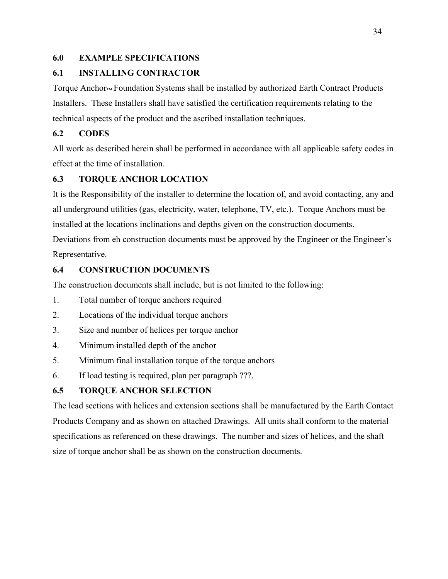# **6.0 EXAMPLE SPECIFICATIONS**

# **6.1 INSTALLING CONTRACTOR**

Torque Anchor™ Foundation Systems shall be installed by authorized Earth Contract Products Installers. These Installers shall have satisfied the certification requirements relating to the technical aspects of the product and the ascribed installation techniques.

# **6.2 CODES**

All work as described herein shall be performed in accordance with all applicable safety codes in effect at the time of installation.

# **6.3 TORQUE ANCHOR LOCATION**

It is the Responsibility of the installer to determine the location of, and avoid contacting, any and all underground utilities (gas, electricity, water, telephone, TV, etc.). Torque Anchors must be installed at the locations inclinations and depths given on the construction documents. Deviations from eh construction documents must be approved by the Engineer or the Engineer's Representative.

# **6.4 CONSTRUCTION DOCUMENTS**

The construction documents shall include, but is not limited to the following:

- 1. Total number of torque anchors required
- 2. Locations of the individual torque anchors
- 3. Size and number of helices per torque anchor
- 4. Minimum installed depth of the anchor
- 5. Minimum final installation torque of the torque anchors
- 6. If load testing is required, plan per paragraph ???.

# **6.5 TORQUE ANCHOR SELECTION**

The lead sections with helices and extension sections shall be manufactured by the Earth Contact Products Company and as shown on attached Drawings. All units shall conform to the material specifications as referenced on these drawings. The number and sizes of helices, and the shaft size of torque anchor shall be as shown on the construction documents.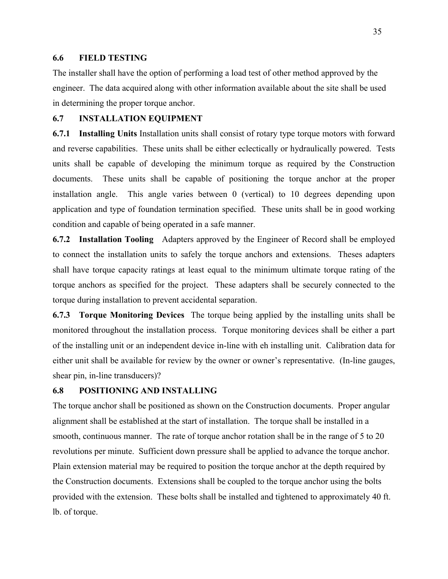#### **6.6 FIELD TESTING**

The installer shall have the option of performing a load test of other method approved by the engineer. The data acquired along with other information available about the site shall be used in determining the proper torque anchor.

#### **6.7 INSTALLATION EQUIPMENT**

**6.7.1 Installing Units** Installation units shall consist of rotary type torque motors with forward and reverse capabilities. These units shall be either eclectically or hydraulically powered. Tests units shall be capable of developing the minimum torque as required by the Construction documents. These units shall be capable of positioning the torque anchor at the proper installation angle. This angle varies between 0 (vertical) to 10 degrees depending upon application and type of foundation termination specified. These units shall be in good working condition and capable of being operated in a safe manner.

**6.7.2 Installation Tooling** Adapters approved by the Engineer of Record shall be employed to connect the installation units to safely the torque anchors and extensions. Theses adapters shall have torque capacity ratings at least equal to the minimum ultimate torque rating of the torque anchors as specified for the project. These adapters shall be securely connected to the torque during installation to prevent accidental separation.

**6.7.3 Torque Monitoring Devices** The torque being applied by the installing units shall be monitored throughout the installation process. Torque monitoring devices shall be either a part of the installing unit or an independent device in-line with eh installing unit. Calibration data for either unit shall be available for review by the owner or owner's representative. (In-line gauges, shear pin, in-line transducers)?

#### **6.8 POSITIONING AND INSTALLING**

The torque anchor shall be positioned as shown on the Construction documents. Proper angular alignment shall be established at the start of installation. The torque shall be installed in a smooth, continuous manner. The rate of torque anchor rotation shall be in the range of 5 to 20 revolutions per minute. Sufficient down pressure shall be applied to advance the torque anchor. Plain extension material may be required to position the torque anchor at the depth required by the Construction documents. Extensions shall be coupled to the torque anchor using the bolts provided with the extension. These bolts shall be installed and tightened to approximately 40 ft. lb. of torque.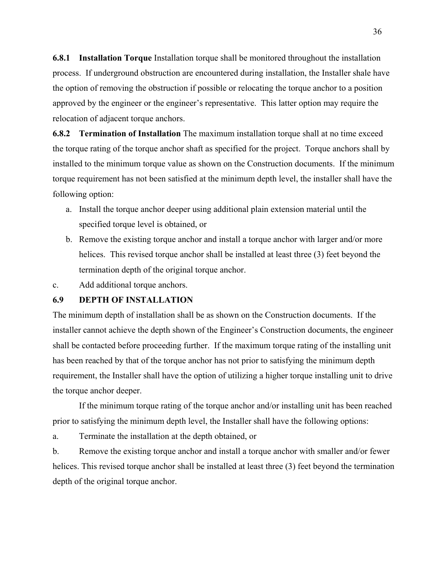**6.8.1 Installation Torque** Installation torque shall be monitored throughout the installation process. If underground obstruction are encountered during installation, the Installer shale have the option of removing the obstruction if possible or relocating the torque anchor to a position approved by the engineer or the engineer's representative. This latter option may require the relocation of adjacent torque anchors.

**6.8.2 Termination of Installation** The maximum installation torque shall at no time exceed the torque rating of the torque anchor shaft as specified for the project. Torque anchors shall by installed to the minimum torque value as shown on the Construction documents. If the minimum torque requirement has not been satisfied at the minimum depth level, the installer shall have the following option:

- a. Install the torque anchor deeper using additional plain extension material until the specified torque level is obtained, or
- b. Remove the existing torque anchor and install a torque anchor with larger and/or more helices. This revised torque anchor shall be installed at least three (3) feet beyond the termination depth of the original torque anchor.
- c. Add additional torque anchors.

#### **6.9 DEPTH OF INSTALLATION**

The minimum depth of installation shall be as shown on the Construction documents. If the installer cannot achieve the depth shown of the Engineer's Construction documents, the engineer shall be contacted before proceeding further. If the maximum torque rating of the installing unit has been reached by that of the torque anchor has not prior to satisfying the minimum depth requirement, the Installer shall have the option of utilizing a higher torque installing unit to drive the torque anchor deeper.

 If the minimum torque rating of the torque anchor and/or installing unit has been reached prior to satisfying the minimum depth level, the Installer shall have the following options:

a. Terminate the installation at the depth obtained, or

b. Remove the existing torque anchor and install a torque anchor with smaller and/or fewer helices. This revised torque anchor shall be installed at least three (3) feet beyond the termination depth of the original torque anchor.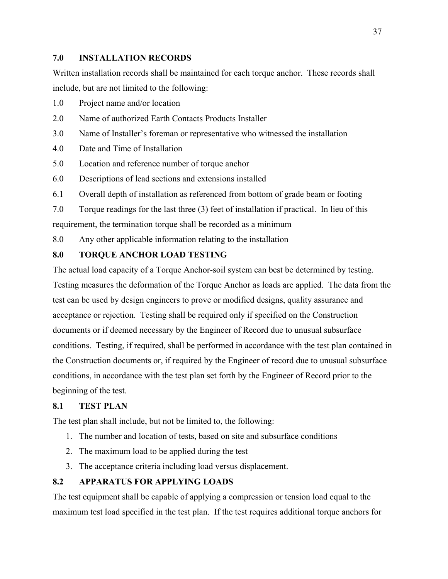#### **7.0 INSTALLATION RECORDS**

Written installation records shall be maintained for each torque anchor. These records shall include, but are not limited to the following:

- 1.0 Project name and/or location
- 2.0 Name of authorized Earth Contacts Products Installer
- 3.0 Name of Installer's foreman or representative who witnessed the installation
- 4.0 Date and Time of Installation
- 5.0 Location and reference number of torque anchor
- 6.0 Descriptions of lead sections and extensions installed
- 6.1 Overall depth of installation as referenced from bottom of grade beam or footing
- 7.0 Torque readings for the last three (3) feet of installation if practical. In lieu of this requirement, the termination torque shall be recorded as a minimum
- 8.0 Any other applicable information relating to the installation

# **8.0 TORQUE ANCHOR LOAD TESTING**

The actual load capacity of a Torque Anchor-soil system can best be determined by testing. Testing measures the deformation of the Torque Anchor as loads are applied. The data from the test can be used by design engineers to prove or modified designs, quality assurance and acceptance or rejection. Testing shall be required only if specified on the Construction documents or if deemed necessary by the Engineer of Record due to unusual subsurface conditions. Testing, if required, shall be performed in accordance with the test plan contained in the Construction documents or, if required by the Engineer of record due to unusual subsurface conditions, in accordance with the test plan set forth by the Engineer of Record prior to the beginning of the test.

# **8.1 TEST PLAN**

The test plan shall include, but not be limited to, the following:

- 1. The number and location of tests, based on site and subsurface conditions
- 2. The maximum load to be applied during the test
- 3. The acceptance criteria including load versus displacement.

# **8.2 APPARATUS FOR APPLYING LOADS**

The test equipment shall be capable of applying a compression or tension load equal to the maximum test load specified in the test plan. If the test requires additional torque anchors for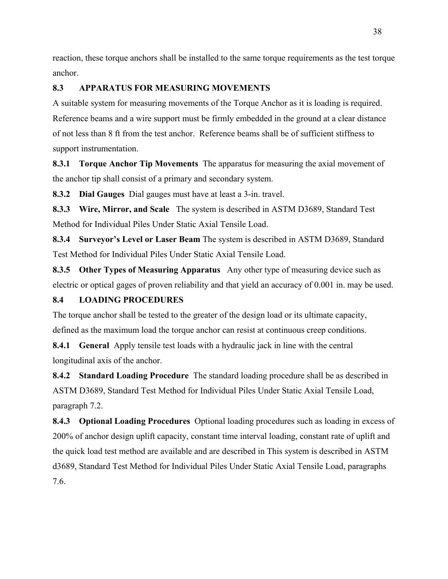reaction, these torque anchors shall be installed to the same torque requirements as the test torque anchor.

# **8.3 APPARATUS FOR MEASURING MOVEMENTS**

A suitable system for measuring movements of the Torque Anchor as it is loading is required. Reference beams and a wire support must be firmly embedded in the ground at a clear distance of not less than 8 ft from the test anchor. Reference beams shall be of sufficient stiffness to support instrumentation.

**8.3.1 Torque Anchor Tip Movements** The apparatus for measuring the axial movement of the anchor tip shall consist of a primary and secondary system.

**8.3.2 Dial Gauges** Dial gauges must have at least a 3-in. travel.

**8.3.3 Wire, Mirror, and Scale** The system is described in ASTM D3689, Standard Test Method for Individual Piles Under Static Axial Tensile Load.

**8.3.4 Surveyor's Level or Laser Beam** The system is described in ASTM D3689, Standard Test Method for Individual Piles Under Static Axial Tensile Load.

**8.3.5 Other Types of Measuring Apparatus** Any other type of measuring device such as electric or optical gages of proven reliability and that yield an accuracy of 0.001 in. may be used.

# **8.4 LOADING PROCEDURES**

The torque anchor shall be tested to the greater of the design load or its ultimate capacity, defined as the maximum load the torque anchor can resist at continuous creep conditions.

**8.4.1 General** Apply tensile test loads with a hydraulic jack in line with the central longitudinal axis of the anchor.

**8.4.2 Standard Loading Procedure** The standard loading procedure shall be as described in ASTM D3689, Standard Test Method for Individual Piles Under Static Axial Tensile Load, paragraph 7.2.

**8.4.3 Optional Loading Procedures** Optional loading procedures such as loading in excess of 200% of anchor design uplift capacity, constant time interval loading, constant rate of uplift and the quick load test method are available and are described in This system is described in ASTM d3689, Standard Test Method for Individual Piles Under Static Axial Tensile Load, paragraphs 7.6.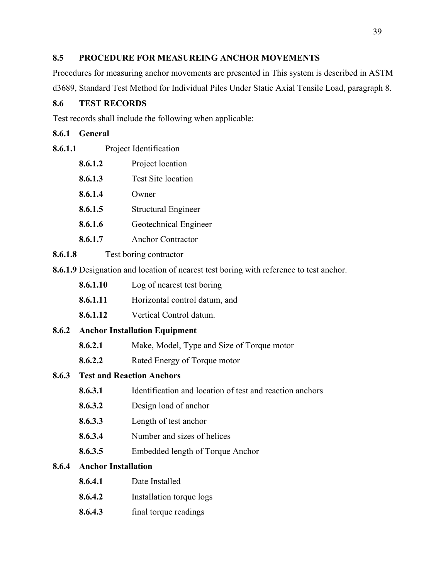### **8.5 PROCEDURE FOR MEASUREING ANCHOR MOVEMENTS**

Procedures for measuring anchor movements are presented in This system is described in ASTM d3689, Standard Test Method for Individual Piles Under Static Axial Tensile Load, paragraph 8.

# **8.6 TEST RECORDS**

Test records shall include the following when applicable:

# **8.6.1 General**

- **8.6.1.2** Project location
- **8.6.1.3** Test Site location
- **8.6.1.4** Owner
- **8.6.1.5** Structural Engineer
- **8.6.1.6** Geotechnical Engineer
- **8.6.1.7** Anchor Contractor
- **8.6.1.8** Test boring contractor
- **8.6.1.9** Designation and location of nearest test boring with reference to test anchor.
	- **8.6.1.10** Log of nearest test boring
	- **8.6.1.11** Horizontal control datum, and
	- **8.6.1.12** Vertical Control datum.

# **8.6.2 Anchor Installation Equipment**

- **8.6.2.1** Make, Model, Type and Size of Torque motor
- **8.6.2.2** Rated Energy of Torque motor

# **8.6.3 Test and Reaction Anchors**

- **8.6.3.1** Identification and location of test and reaction anchors
- **8.6.3.2** Design load of anchor
- **8.6.3.3** Length of test anchor
- **8.6.3.4** Number and sizes of helices
- **8.6.3.5** Embedded length of Torque Anchor

# **8.6.4 Anchor Installation**

- **8.6.4.1** Date Installed
- **8.6.4.2** Installation torque logs
- **8.6.4.3** final torque readings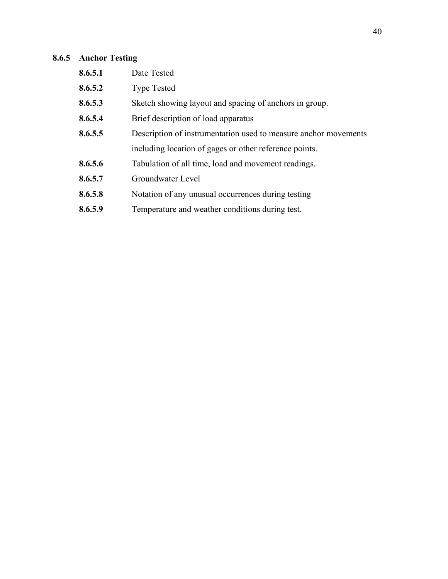# **8.6.5 Anchor Testing**

| 8.6.5.1 | Date Tested                                                     |
|---------|-----------------------------------------------------------------|
| 8.6.5.2 | <b>Type Tested</b>                                              |
| 8.6.5.3 | Sketch showing layout and spacing of anchors in group.          |
| 8.6.5.4 | Brief description of load apparatus                             |
| 8.6.5.5 | Description of instrumentation used to measure anchor movements |
|         | including location of gages or other reference points.          |
| 8.6.5.6 | Tabulation of all time, load and movement readings.             |
| 8.6.5.7 | Groundwater Level                                               |
| 8.6.5.8 | Notation of any unusual occurrences during testing              |
| 8.6.5.9 | Temperature and weather conditions during test.                 |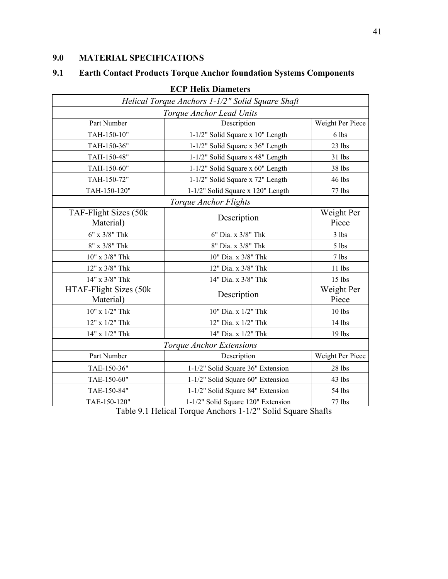# **9.0 MATERIAL SPECIFICATIONS**

# **9.1 Earth Contact Products Torque Anchor foundation Systems Components**

| <b>ECP Helix Diameters</b>                       |                                              |                     |  |
|--------------------------------------------------|----------------------------------------------|---------------------|--|
| Helical Torque Anchors 1-1/2" Solid Square Shaft |                                              |                     |  |
|                                                  | Torque Anchor Lead Units                     |                     |  |
| Part Number                                      | Description                                  | Weight Per Piece    |  |
| TAH-150-10"                                      | 1-1/2" Solid Square x 10" Length             | 6 lbs               |  |
| TAH-150-36"                                      | 1-1/2" Solid Square x 36" Length             | 23 lbs              |  |
| TAH-150-48"                                      | 1-1/2" Solid Square x 48" Length             | 31 lbs              |  |
| TAH-150-60"                                      | 1-1/2" Solid Square x 60" Length             | 38 lbs              |  |
| TAH-150-72"                                      | 1-1/2" Solid Square x 72" Length             | 46 lbs              |  |
| TAH-150-120"                                     | 1-1/2" Solid Square x 120" Length            | 77 lbs              |  |
|                                                  | Torque Anchor Flights                        |                     |  |
| TAF-Flight Sizes (50k<br>Material)               | Description                                  | Weight Per<br>Piece |  |
| $6"$ x $3/8"$ Thk                                | 6" Dia. x 3/8" Thk                           | 3 lbs               |  |
| $8"$ x $3/8"$ Thk                                | 8" Dia. x 3/8" Thk                           | 5 lbs               |  |
| $10"$ x $3/8"$ Thk                               | 10" Dia. x 3/8" Thk                          | 7 lbs               |  |
| 12" x 3/8" Thk                                   | 12" Dia. x 3/8" Thk                          | 11 lbs              |  |
| 14" x 3/8" Thk                                   | 14" Dia. x 3/8" Thk                          | 15 lbs              |  |
| HTAF-Flight Sizes (50k<br>Material)              | Description                                  | Weight Per<br>Piece |  |
| $10"$ x $1/2"$ Thk                               | 10" Dia. x 1/2" Thk                          | 10 lbs              |  |
| 12" x 1/2" Thk                                   | 12" Dia. x 1/2" Thk                          | 14 lbs              |  |
| 14" x 1/2" Thk                                   | 14" Dia. x 1/2" Thk                          |                     |  |
| Torque Anchor Extensions                         |                                              |                     |  |
| Part Number                                      | Description                                  | Weight Per Piece    |  |
| TAE-150-36"                                      | 1-1/2" Solid Square 36" Extension<br>28 lbs  |                     |  |
| TAE-150-60"                                      | 1-1/2" Solid Square 60" Extension            | 43 lbs              |  |
| TAE-150-84"                                      | 1-1/2" Solid Square 84" Extension            | 54 lbs              |  |
| TAE-150-120"                                     | 1-1/2" Solid Square 120" Extension<br>77 lbs |                     |  |

Table 9.1 Helical Torque Anchors 1-1/2" Solid Square Shafts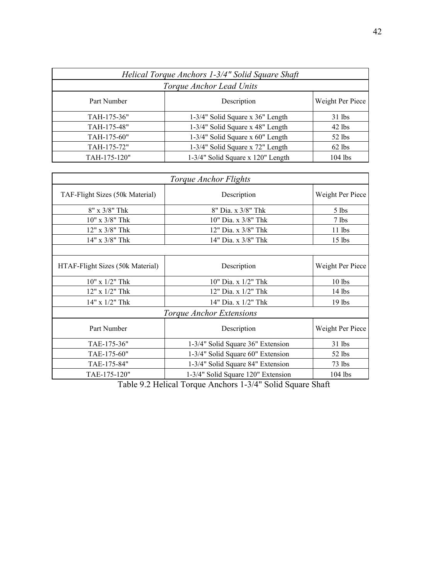| Helical Torque Anchors 1-3/4" Solid Square Shaft |                                              |           |  |
|--------------------------------------------------|----------------------------------------------|-----------|--|
| Torque Anchor Lead Units                         |                                              |           |  |
| Part Number                                      | Weight Per Piece<br>Description              |           |  |
| TAH-175-36"                                      | 1-3/4" Solid Square x 36" Length             | $31$ lbs  |  |
| TAH-175-48"                                      | 1-3/4" Solid Square x 48" Length<br>$42$ lbs |           |  |
| TAH-175-60"                                      | 1-3/4" Solid Square x 60" Length             | 52 lbs    |  |
| TAH-175-72"                                      | 1-3/4" Solid Square x 72" Length             | $62$ lbs  |  |
| TAH-175-120"                                     | 1-3/4" Solid Square x 120" Length            | $104$ lbs |  |

| Torque Anchor Flights            |                                                 |                  |  |
|----------------------------------|-------------------------------------------------|------------------|--|
| TAF-Flight Sizes (50k Material)  | Description                                     | Weight Per Piece |  |
| $8'' \times 3/8''$ Thk           | 8" Dia. x 3/8" Thk                              | $5$ lbs          |  |
| $10"$ x $3/8"$ Thk               | 10" Dia. x 3/8" Thk                             | $7$ lbs          |  |
| 12" x 3/8" Thk                   | 12" Dia. x 3/8" Thk                             | $11$ lbs         |  |
| 14" x 3/8" Thk                   | 14" Dia. x 3/8" Thk                             | $15$ lbs         |  |
|                                  |                                                 |                  |  |
| HTAF-Flight Sizes (50k Material) | Description                                     |                  |  |
| $10''$ x $1/2''$ Thk             | 10" Dia. x 1/2" Thk                             | $10$ lbs         |  |
| $12"$ x $1/2"$ Thk               | $12"$ Dia. x $1/2"$ Thk                         | $14$ lbs         |  |
| $14"$ x $1/2"$ Thk               | 14" Dia. x $1/2$ " Thk                          | $19$ lbs         |  |
| <i>Torque Anchor Extensions</i>  |                                                 |                  |  |
| Part Number                      | Description                                     | Weight Per Piece |  |
| TAE-175-36"                      | 1-3/4" Solid Square 36" Extension               | 31 lbs           |  |
| TAE-175-60"                      | 1-3/4" Solid Square 60" Extension<br>$52$ lbs   |                  |  |
| TAE-175-84"                      | 1-3/4" Solid Square 84" Extension<br>$73$ lbs   |                  |  |
| TAE-175-120"                     | $104$ lbs<br>1-3/4" Solid Square 120" Extension |                  |  |

Table 9.2 Helical Torque Anchors 1-3/4" Solid Square Shaft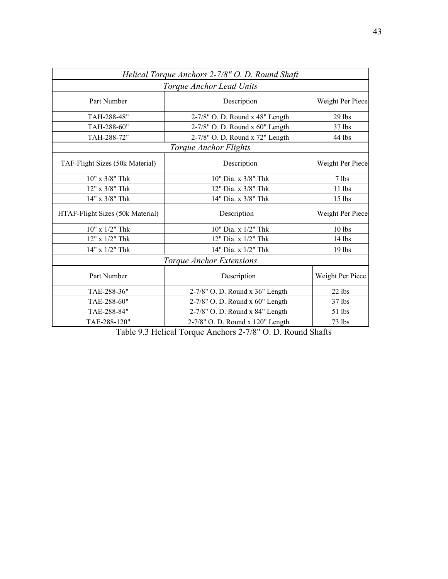| Helical Torque Anchors 2-7/8" O. D. Round Shaft |                                             |                  |  |  |
|-------------------------------------------------|---------------------------------------------|------------------|--|--|
| Torque Anchor Lead Units                        |                                             |                  |  |  |
| Part Number                                     | Description                                 | Weight Per Piece |  |  |
| TAH-288-48"                                     | 2-7/8" O. D. Round x 48" Length             | $29$ lbs         |  |  |
| TAH-288-60"                                     | 2-7/8" O. D. Round x 60" Length<br>$37$ lbs |                  |  |  |
| TAH-288-72"                                     | 2-7/8" O. D. Round x 72" Length<br>44 lbs   |                  |  |  |
|                                                 | Torque Anchor Flights                       |                  |  |  |
| TAF-Flight Sizes (50k Material)                 | Description                                 | Weight Per Piece |  |  |
| $10"$ x $3/8"$ Thk                              | 10" Dia. x 3/8" Thk                         | $7$ lbs          |  |  |
| $12"$ x $3/8"$ Thk                              | 12" Dia. x 3/8" Thk                         | $11$ lbs         |  |  |
| 14" x 3/8" Thk                                  | 14" Dia. x 3/8" Thk                         | $15$ lbs         |  |  |
| HTAF-Flight Sizes (50k Material)                | Description                                 | Weight Per Piece |  |  |
| $10"$ x $1/2"$ Thk                              | 10" Dia. x 1/2" Thk                         | $10$ lbs         |  |  |
| $12"$ x $1/2"$ Thk                              | 12" Dia. x 1/2" Thk                         | $14$ lbs         |  |  |
| 14" x 1/2" Thk                                  | 14" Dia. x 1/2" Thk                         | 19 lbs           |  |  |
| Torque Anchor Extensions                        |                                             |                  |  |  |
| Part Number                                     | Description                                 | Weight Per Piece |  |  |
| TAE-288-36"                                     | 2-7/8" O. D. Round x 36" Length<br>$22$ lbs |                  |  |  |
| TAE-288-60"                                     | 2-7/8" O. D. Round x 60" Length<br>37 lbs   |                  |  |  |
| TAE-288-84"                                     | 2-7/8" O. D. Round x 84" Length<br>51 lbs   |                  |  |  |
| TAE-288-120"                                    | 2-7/8" O. D. Round x 120" Length<br>73 lbs  |                  |  |  |

Table 9.3 Helical Torque Anchors 2-7/8" O. D. Round Shafts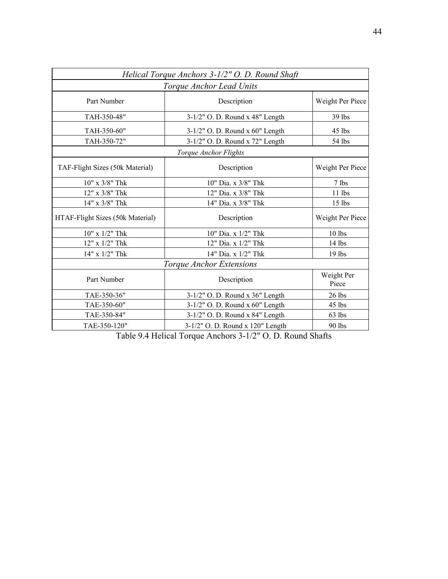| Helical Torque Anchors 3-1/2" O. D. Round Shaft |                                             |                  |  |  |
|-------------------------------------------------|---------------------------------------------|------------------|--|--|
| Torque Anchor Lead Units                        |                                             |                  |  |  |
| Part Number                                     | Description                                 | Weight Per Piece |  |  |
| TAH-350-48"                                     | 3-1/2" O. D. Round x 48" Length             | 39 lbs           |  |  |
| TAH-350-60"                                     | 3-1/2" O. D. Round x 60" Length<br>45 lbs   |                  |  |  |
| TAH-350-72"                                     | 3-1/2" O. D. Round x 72" Length<br>54 lbs   |                  |  |  |
|                                                 | Torque Anchor Flights                       |                  |  |  |
| TAF-Flight Sizes (50k Material)                 | Description                                 | Weight Per Piece |  |  |
| $10"$ x $3/8"$ Thk                              | 10" Dia. x 3/8" Thk<br>7 lbs                |                  |  |  |
| 12" x 3/8" Thk                                  | 12" Dia. x 3/8" Thk<br>11 lbs               |                  |  |  |
| 14" x 3/8" Thk                                  | 14" Dia. x 3/8" Thk                         | $15$ lbs         |  |  |
| HTAF-Flight Sizes (50k Material)                | Description                                 | Weight Per Piece |  |  |
| $10"$ x $1/2"$ Thk                              | 10" Dia. x 1/2" Thk<br>10 lbs               |                  |  |  |
| 12" x 1/2" Thk                                  | 12" Dia. x 1/2" Thk<br>14 lbs               |                  |  |  |
| 14" x 1/2" Thk                                  | 14" Dia. x 1/2" Thk<br>$19$ lbs             |                  |  |  |
| Torque Anchor Extensions                        |                                             |                  |  |  |
| Part Number                                     | Weight Per<br>Description<br>Piece          |                  |  |  |
| TAE-350-36"                                     | 3-1/2" O. D. Round x 36" Length<br>$26$ lbs |                  |  |  |
| TAE-350-60"                                     | 3-1/2" O. D. Round x 60" Length<br>$45$ lbs |                  |  |  |
| TAE-350-84"                                     | 3-1/2" O. D. Round x 84" Length<br>63 lbs   |                  |  |  |
| TAE-350-120"                                    | 3-1/2" O. D. Round x 120" Length<br>90 lbs  |                  |  |  |

Table 9.4 Helical Torque Anchors 3-1/2" O. D. Round Shafts